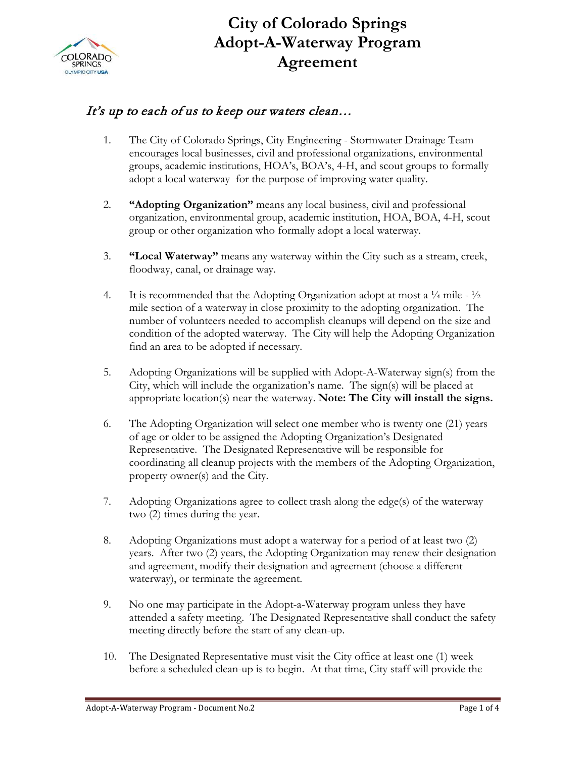

## **City of Colorado Springs Adopt-A-Waterway Program Agreement**

## It's up to each of us to keep our waters clean...

- 1. The City of Colorado Springs, City Engineering Stormwater Drainage Team encourages local businesses, civil and professional organizations, environmental groups, academic institutions, HOA's, BOA's, 4-H, and scout groups to formally adopt a local waterway for the purpose of improving water quality.
- 2. **"Adopting Organization"** means any local business, civil and professional organization, environmental group, academic institution, HOA, BOA, 4-H, scout group or other organization who formally adopt a local waterway.
- 3. **"Local Waterway"** means any waterway within the City such as a stream, creek, floodway, canal, or drainage way.
- 4. It is recommended that the Adopting Organization adopt at most a  $\frac{1}{4}$  mile  $\frac{1}{2}$ mile section of a waterway in close proximity to the adopting organization. The number of volunteers needed to accomplish cleanups will depend on the size and condition of the adopted waterway. The City will help the Adopting Organization find an area to be adopted if necessary.
- 5. Adopting Organizations will be supplied with Adopt-A-Waterway sign(s) from the City, which will include the organization's name. The sign(s) will be placed at appropriate location(s) near the waterway. **Note: The City will install the signs.**
- 6. The Adopting Organization will select one member who is twenty one (21) years of age or older to be assigned the Adopting Organization's Designated Representative. The Designated Representative will be responsible for coordinating all cleanup projects with the members of the Adopting Organization, property owner(s) and the City.
- 7. Adopting Organizations agree to collect trash along the edge(s) of the waterway two (2) times during the year.
- 8. Adopting Organizations must adopt a waterway for a period of at least two (2) years. After two (2) years, the Adopting Organization may renew their designation and agreement, modify their designation and agreement (choose a different waterway), or terminate the agreement.
- 9. No one may participate in the Adopt-a-Waterway program unless they have attended a safety meeting. The Designated Representative shall conduct the safety meeting directly before the start of any clean-up.
- 10. The Designated Representative must visit the City office at least one (1) week before a scheduled clean-up is to begin. At that time, City staff will provide the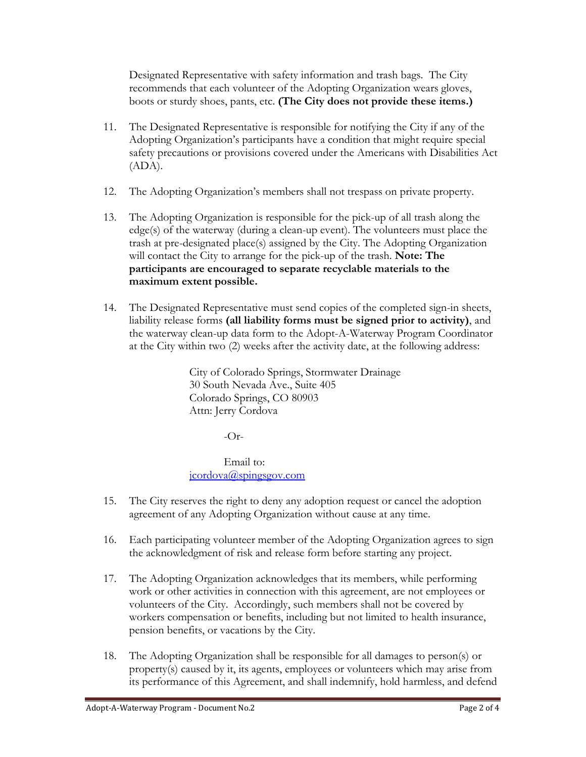Designated Representative with safety information and trash bags. The City recommends that each volunteer of the Adopting Organization wears gloves, boots or sturdy shoes, pants, etc. **(The City does not provide these items.)**

- 11. The Designated Representative is responsible for notifying the City if any of the Adopting Organization's participants have a condition that might require special safety precautions or provisions covered under the Americans with Disabilities Act (ADA).
- 12. The Adopting Organization's members shall not trespass on private property.
- 13. The Adopting Organization is responsible for the pick-up of all trash along the edge(s) of the waterway (during a clean-up event). The volunteers must place the trash at pre-designated place(s) assigned by the City. The Adopting Organization will contact the City to arrange for the pick-up of the trash. **Note: The participants are encouraged to separate recyclable materials to the maximum extent possible.**
- 14. The Designated Representative must send copies of the completed sign-in sheets, liability release forms **(all liability forms must be signed prior to activity)**, and the waterway clean-up data form to the Adopt-A-Waterway Program Coordinator at the City within two (2) weeks after the activity date, at the following address:

City of Colorado Springs, Stormwater Drainage 30 South Nevada Ave., Suite 405 Colorado Springs, CO 80903 Attn: Jerry Cordova

 $-Or-$ 

Email to: [jcordova@spingsgov.com](mailto:jcordova@spingsgov.com)

- 15. The City reserves the right to deny any adoption request or cancel the adoption agreement of any Adopting Organization without cause at any time.
- 16. Each participating volunteer member of the Adopting Organization agrees to sign the acknowledgment of risk and release form before starting any project.
- 17. The Adopting Organization acknowledges that its members, while performing work or other activities in connection with this agreement, are not employees or volunteers of the City. Accordingly, such members shall not be covered by workers compensation or benefits, including but not limited to health insurance, pension benefits, or vacations by the City.
- 18. The Adopting Organization shall be responsible for all damages to person(s) or property(s) caused by it, its agents, employees or volunteers which may arise from its performance of this Agreement, and shall indemnify, hold harmless, and defend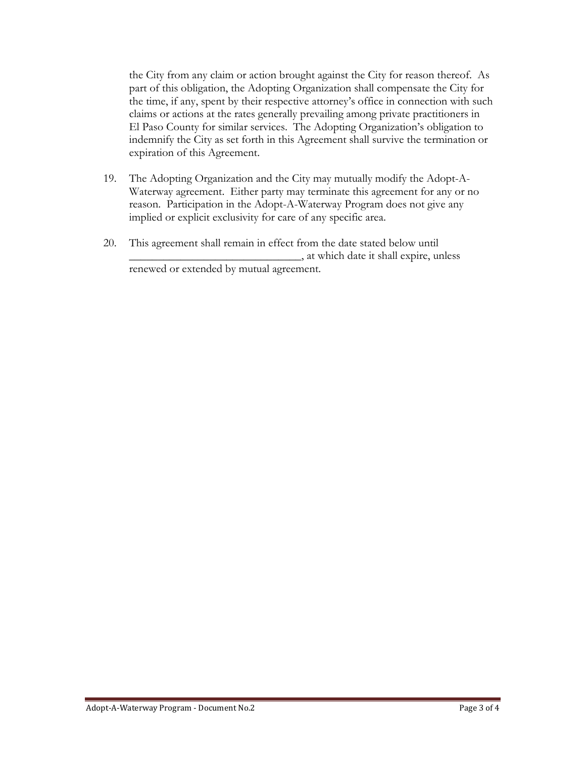the City from any claim or action brought against the City for reason thereof. As part of this obligation, the Adopting Organization shall compensate the City for the time, if any, spent by their respective attorney's office in connection with such claims or actions at the rates generally prevailing among private practitioners in El Paso County for similar services. The Adopting Organization's obligation to indemnify the City as set forth in this Agreement shall survive the termination or expiration of this Agreement.

- 19. The Adopting Organization and the City may mutually modify the Adopt-A-Waterway agreement. Either party may terminate this agreement for any or no reason. Participation in the Adopt-A-Waterway Program does not give any implied or explicit exclusivity for care of any specific area.
- 20. This agreement shall remain in effect from the date stated below until \_\_\_\_\_\_\_\_\_\_\_\_\_\_\_\_\_\_\_\_\_\_\_\_\_\_\_\_\_\_, at which date it shall expire, unless renewed or extended by mutual agreement.